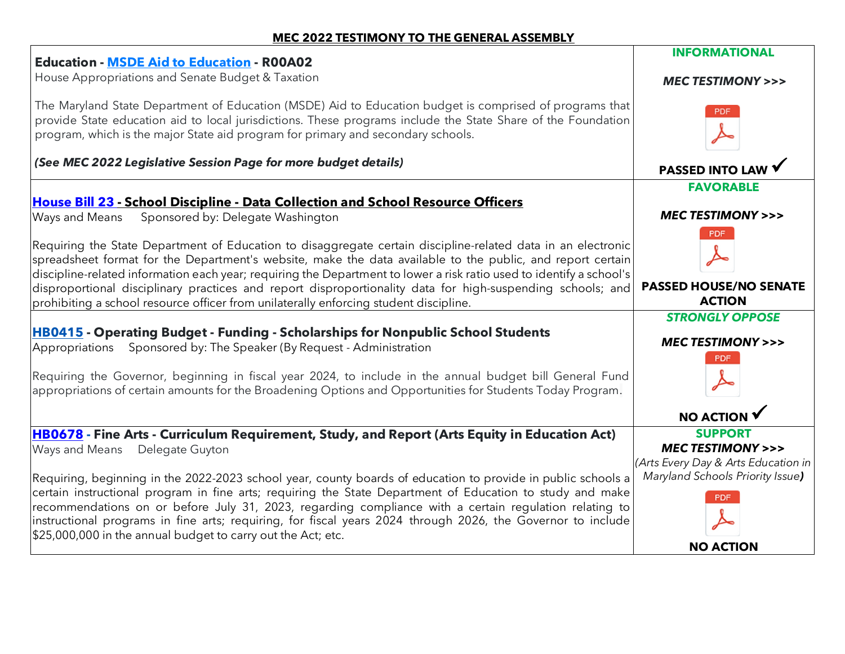## **MEC 2022 TESTIMONY TO THE GENERAL ASSEMBLY**

| <b>Education - MSDE Aid to Education - R00A02</b>                                                                                                                                                                                                                                                                                                                                                                                                                                                                                                         | <b>INFORMATIONAL</b>                                                                                                           |
|-----------------------------------------------------------------------------------------------------------------------------------------------------------------------------------------------------------------------------------------------------------------------------------------------------------------------------------------------------------------------------------------------------------------------------------------------------------------------------------------------------------------------------------------------------------|--------------------------------------------------------------------------------------------------------------------------------|
| House Appropriations and Senate Budget & Taxation                                                                                                                                                                                                                                                                                                                                                                                                                                                                                                         | <b>MEC TESTIMONY &gt;&gt;&gt;</b>                                                                                              |
| The Maryland State Department of Education (MSDE) Aid to Education budget is comprised of programs that<br>provide State education aid to local jurisdictions. These programs include the State Share of the Foundation<br>program, which is the major State aid program for primary and secondary schools.                                                                                                                                                                                                                                               |                                                                                                                                |
| (See MEC 2022 Legislative Session Page for more budget details)                                                                                                                                                                                                                                                                                                                                                                                                                                                                                           | <b>PASSED INTO LAW</b>                                                                                                         |
|                                                                                                                                                                                                                                                                                                                                                                                                                                                                                                                                                           | <b>FAVORABLE</b>                                                                                                               |
| <b>House Bill 23 - School Discipline - Data Collection and School Resource Officers</b><br>Sponsored by: Delegate Washington<br>Ways and Means                                                                                                                                                                                                                                                                                                                                                                                                            | <b>MEC TESTIMONY &gt;&gt;&gt;</b>                                                                                              |
| Requiring the State Department of Education to disaggregate certain discipline-related data in an electronic<br>spreadsheet format for the Department's website, make the data available to the public, and report certain<br>discipline-related information each year; requiring the Department to lower a risk ratio used to identify a school's<br>disproportional disciplinary practices and report disproportionality data for high-suspending schools; and<br>prohibiting a school resource officer from unilaterally enforcing student discipline. | <b>PDF</b><br><b>PASSED HOUSE/NO SENATE</b><br><b>ACTION</b>                                                                   |
| <b>HB0415</b> - Operating Budget - Funding - Scholarships for Nonpublic School Students                                                                                                                                                                                                                                                                                                                                                                                                                                                                   | <b>STRONGLY OPPOSE</b>                                                                                                         |
| Appropriations Sponsored by: The Speaker (By Request - Administration                                                                                                                                                                                                                                                                                                                                                                                                                                                                                     | <b>MEC TESTIMONY &gt;&gt;&gt;</b>                                                                                              |
| Requiring the Governor, beginning in fiscal year 2024, to include in the annual budget bill General Fund<br>appropriations of certain amounts for the Broadening Options and Opportunities for Students Today Program.                                                                                                                                                                                                                                                                                                                                    | <b>PDF</b>                                                                                                                     |
|                                                                                                                                                                                                                                                                                                                                                                                                                                                                                                                                                           | <b>NO ACTION</b>                                                                                                               |
| HB0678 - Fine Arts - Curriculum Requirement, Study, and Report (Arts Equity in Education Act)<br>Ways and Means Delegate Guyton<br>Requiring, beginning in the 2022-2023 school year, county boards of education to provide in public schools a                                                                                                                                                                                                                                                                                                           | <b>SUPPORT</b><br><b>MEC TESTIMONY &gt;&gt;&gt;</b><br>(Arts Every Day & Arts Education in<br>Maryland Schools Priority Issue) |
| certain instructional program in fine arts; requiring the State Department of Education to study and make<br>recommendations on or before July 31, 2023, regarding compliance with a certain regulation relating to<br>instructional programs in fine arts; requiring, for fiscal years 2024 through 2026, the Governor to include<br>\$25,000,000 in the annual budget to carry out the Act; etc.                                                                                                                                                        | <b>PDF</b>                                                                                                                     |
|                                                                                                                                                                                                                                                                                                                                                                                                                                                                                                                                                           | <b>NO ACTION</b>                                                                                                               |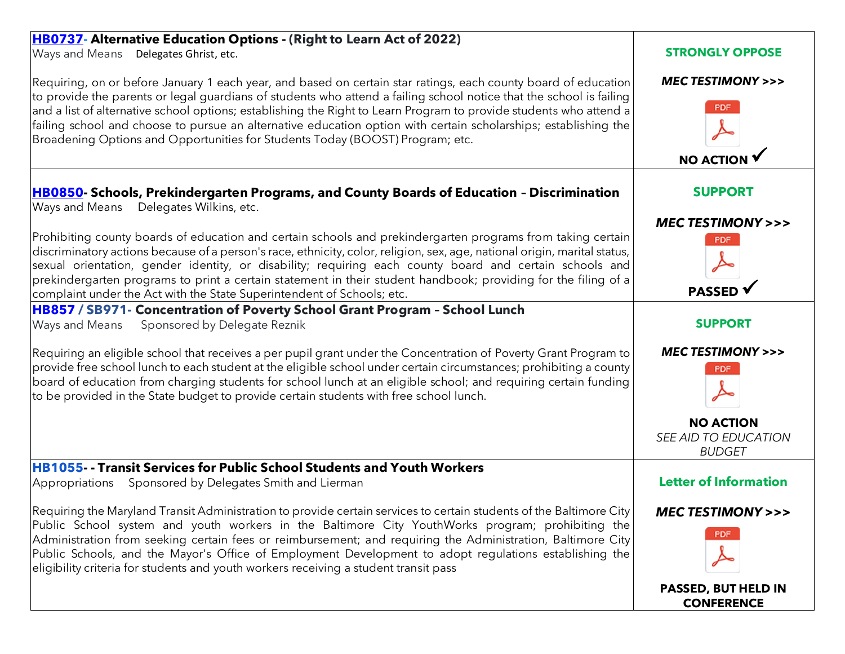| HB0737- Alternative Education Options - (Right to Learn Act of 2022)                                                                                                                                                                                                                                                                                                                                                                                                                                                                                            |                                                                     |
|-----------------------------------------------------------------------------------------------------------------------------------------------------------------------------------------------------------------------------------------------------------------------------------------------------------------------------------------------------------------------------------------------------------------------------------------------------------------------------------------------------------------------------------------------------------------|---------------------------------------------------------------------|
| Ways and Means<br>Delegates Ghrist, etc.                                                                                                                                                                                                                                                                                                                                                                                                                                                                                                                        | <b>STRONGLY OPPOSE</b>                                              |
| Requiring, on or before January 1 each year, and based on certain star ratings, each county board of education<br>to provide the parents or legal guardians of students who attend a failing school notice that the school is failing<br>and a list of alternative school options; establishing the Right to Learn Program to provide students who attend a<br>failing school and choose to pursue an alternative education option with certain scholarships; establishing the<br>Broadening Options and Opportunities for Students Today (BOOST) Program; etc. | <b>MEC TESTIMONY &gt;&gt;&gt;</b><br><b>PDF</b><br><b>NO ACTION</b> |
| HB0850- Schools, Prekindergarten Programs, and County Boards of Education - Discrimination<br>Ways and Means<br>Delegates Wilkins, etc.                                                                                                                                                                                                                                                                                                                                                                                                                         | <b>SUPPORT</b>                                                      |
|                                                                                                                                                                                                                                                                                                                                                                                                                                                                                                                                                                 | <b>MEC TESTIMONY &gt;&gt;&gt;</b>                                   |
| Prohibiting county boards of education and certain schools and prekindergarten programs from taking certain<br>discriminatory actions because of a person's race, ethnicity, color, religion, sex, age, national origin, marital status,<br>sexual orientation, gender identity, or disability; requiring each county board and certain schools and<br>prekindergarten programs to print a certain statement in their student handbook; providing for the filing of a<br>complaint under the Act with the State Superintendent of Schools; etc.                 | <b>PDF</b><br><b>PASSED</b> √                                       |
| HB857 / SB971- Concentration of Poverty School Grant Program - School Lunch                                                                                                                                                                                                                                                                                                                                                                                                                                                                                     |                                                                     |
| Sponsored by Delegate Reznik<br>Ways and Means                                                                                                                                                                                                                                                                                                                                                                                                                                                                                                                  | <b>SUPPORT</b>                                                      |
| Requiring an eligible school that receives a per pupil grant under the Concentration of Poverty Grant Program to<br>provide free school lunch to each student at the eligible school under certain circumstances; prohibiting a county<br>board of education from charging students for school lunch at an eligible school; and requiring certain funding<br>to be provided in the State budget to provide certain students with free school lunch.                                                                                                             | <b>MEC TESTIMONY &gt;&gt;&gt;</b><br><b>PDF</b>                     |
|                                                                                                                                                                                                                                                                                                                                                                                                                                                                                                                                                                 | <b>NO ACTION</b><br>SEE AID TO EDUCATION<br><b>BUDGET</b>           |
| <b>HB1055-- Transit Services for Public School Students and Youth Workers</b>                                                                                                                                                                                                                                                                                                                                                                                                                                                                                   |                                                                     |
| Appropriations Sponsored by Delegates Smith and Lierman                                                                                                                                                                                                                                                                                                                                                                                                                                                                                                         | <b>Letter of Information</b>                                        |
| Requiring the Maryland Transit Administration to provide certain services to certain students of the Baltimore City<br>Public School system and youth workers in the Baltimore City YouthWorks program; prohibiting the<br>Administration from seeking certain fees or reimbursement; and requiring the Administration, Baltimore City<br>Public Schools, and the Mayor's Office of Employment Development to adopt regulations establishing the<br>eligibility criteria for students and youth workers receiving a student transit pass                        | <b>MEC TESTIMONY &gt;&gt;&gt;</b><br>PDF                            |
|                                                                                                                                                                                                                                                                                                                                                                                                                                                                                                                                                                 | PASSED, BUT HELD IN<br><b>CONFERENCE</b>                            |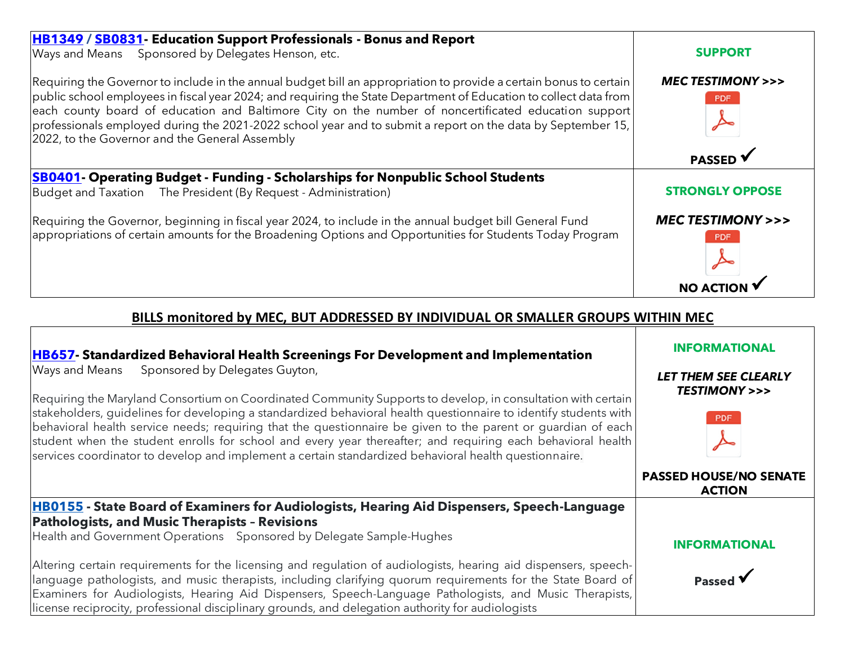| HB1349 / SB0831 Education Support Professionals - Bonus and Report<br>Ways and Means Sponsored by Delegates Henson, etc.                                                                                                                                                                                                                                                                                                                                                                                         | <b>SUPPORT</b>                                  |
|------------------------------------------------------------------------------------------------------------------------------------------------------------------------------------------------------------------------------------------------------------------------------------------------------------------------------------------------------------------------------------------------------------------------------------------------------------------------------------------------------------------|-------------------------------------------------|
| Requiring the Governor to include in the annual budget bill an appropriation to provide a certain bonus to certain<br>public school employees in fiscal year 2024; and requiring the State Department of Education to collect data from<br>each county board of education and Baltimore City on the number of noncertificated education support<br>professionals employed during the 2021-2022 school year and to submit a report on the data by September 15,<br>2022, to the Governor and the General Assembly | <b>MEC TESTIMONY &gt;&gt;&gt;</b><br><b>PDF</b> |
|                                                                                                                                                                                                                                                                                                                                                                                                                                                                                                                  | <b>PASSED</b>                                   |
| <b>SB0401-</b> Operating Budget - Funding - Scholarships for Nonpublic School Students<br>Budget and Taxation The President (By Request - Administration)                                                                                                                                                                                                                                                                                                                                                        | <b>STRONGLY OPPOSE</b>                          |
| Requiring the Governor, beginning in fiscal year 2024, to include in the annual budget bill General Fund<br>appropriations of certain amounts for the Broadening Options and Opportunities for Students Today Program                                                                                                                                                                                                                                                                                            | <b>MEC TESTIMONY &gt;&gt;&gt;</b><br><b>PDF</b> |
|                                                                                                                                                                                                                                                                                                                                                                                                                                                                                                                  |                                                 |

## **BILLS monitored by MEC, BUT ADDRESSED BY INDIVIDUAL OR SMALLER GROUPS WITHIN MEC**

| <b>HB657</b> - Standardized Behavioral Health Screenings For Development and Implementation<br>Sponsored by Delegates Guyton,<br>Ways and Means<br>Requiring the Maryland Consortium on Coordinated Community Supports to develop, in consultation with certain<br>stakeholders, guidelines for developing a standardized behavioral health questionnaire to identify students with<br>behavioral health service needs; requiring that the questionnaire be given to the parent or quardian of each<br>student when the student enrolls for school and every year thereafter; and requiring each behavioral health<br>services coordinator to develop and implement a certain standardized behavioral health questionnaire. | <b>INFORMATIONAL</b><br><b>LET THEM SEE CLEARLY</b><br><b>TESTIMONY &gt;&gt;&gt;</b><br><b>PDF</b> |
|-----------------------------------------------------------------------------------------------------------------------------------------------------------------------------------------------------------------------------------------------------------------------------------------------------------------------------------------------------------------------------------------------------------------------------------------------------------------------------------------------------------------------------------------------------------------------------------------------------------------------------------------------------------------------------------------------------------------------------|----------------------------------------------------------------------------------------------------|
|                                                                                                                                                                                                                                                                                                                                                                                                                                                                                                                                                                                                                                                                                                                             | <b>PASSED HOUSE/NO SENATE</b><br><b>ACTION</b>                                                     |
| HB0155 - State Board of Examiners for Audiologists, Hearing Aid Dispensers, Speech-Language<br><b>Pathologists, and Music Therapists - Revisions</b>                                                                                                                                                                                                                                                                                                                                                                                                                                                                                                                                                                        |                                                                                                    |
| Health and Government Operations Sponsored by Delegate Sample-Hughes                                                                                                                                                                                                                                                                                                                                                                                                                                                                                                                                                                                                                                                        | <b>INFORMATIONAL</b>                                                                               |
| Altering certain requirements for the licensing and regulation of audiologists, hearing aid dispensers, speech-<br>language pathologists, and music therapists, including clarifying quorum requirements for the State Board of<br>Examiners for Audiologists, Hearing Aid Dispensers, Speech-Language Pathologists, and Music Therapists,<br>license reciprocity, professional disciplinary grounds, and delegation authority for audiologists                                                                                                                                                                                                                                                                             | Passed V                                                                                           |